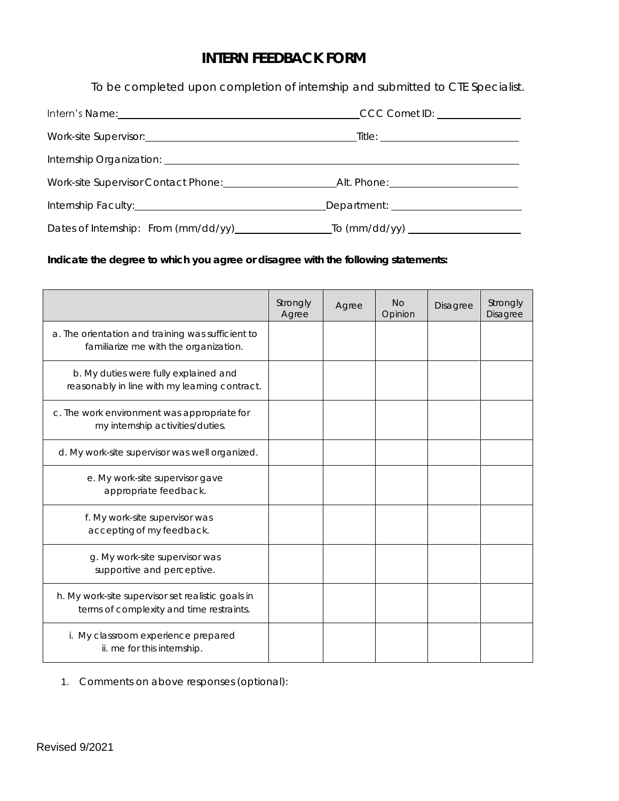## **INTERN FEEDBACK FORM**

 *To be completed upon completion of internship and submitted to CTE Specialist.* 

| Internship Organization: <u>contract and a series of the series of the series of the series of the series of the series of the series of the series of the series of the series of the series of the series of the series of the</u> |  |  |  |
|--------------------------------------------------------------------------------------------------------------------------------------------------------------------------------------------------------------------------------------|--|--|--|
|                                                                                                                                                                                                                                      |  |  |  |
| Internship Faculty: Management of the Contract of the Contract of the Contract of the Contract of the Contract of the Contract of the Contract of the Contract of the Contract of the Contract of the Contract of the Contract       |  |  |  |
|                                                                                                                                                                                                                                      |  |  |  |

**Indicate the degree to which you agree or disagree with the following statements:** 

|                                                                                               | Strongly<br>Agree | Agree | No<br>Opinion | Disagree | Strongly<br>Disagree |
|-----------------------------------------------------------------------------------------------|-------------------|-------|---------------|----------|----------------------|
| a. The orientation and training was sufficient to<br>familiarize me with the organization.    |                   |       |               |          |                      |
| b. My duties were fully explained and<br>reasonably in line with my learning contract.        |                   |       |               |          |                      |
| c. The work environment was appropriate for<br>my internship activities/duties.               |                   |       |               |          |                      |
| d. My work-site supervisor was well organized.                                                |                   |       |               |          |                      |
| e. My work-site supervisor gave<br>appropriate feedback.                                      |                   |       |               |          |                      |
| f. My work-site supervisor was<br>accepting of my feedback.                                   |                   |       |               |          |                      |
| g. My work-site supervisor was<br>supportive and perceptive.                                  |                   |       |               |          |                      |
| h. My work-site supervisor set realistic goals in<br>terms of complexity and time restraints. |                   |       |               |          |                      |
| i. My classroom experience prepared<br>ii. me for this internship.                            |                   |       |               |          |                      |

1. Comments on above responses (optional):